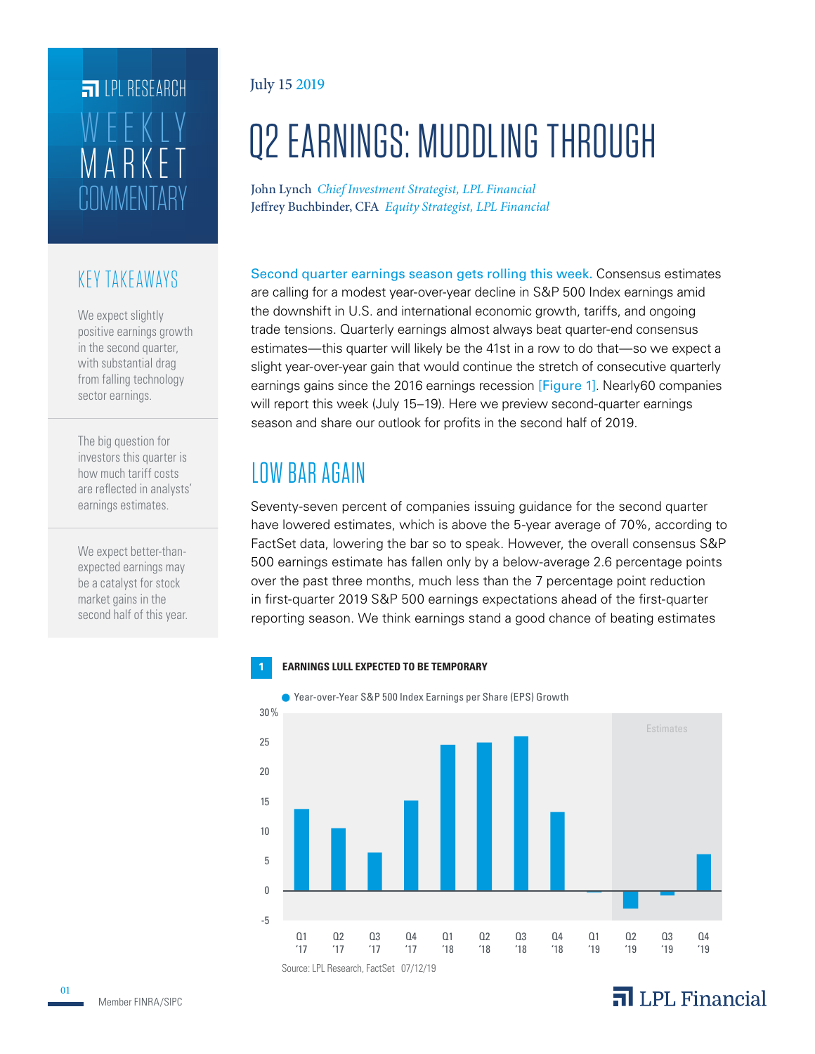## **COMMENTARY** ARKE WEEKLY **FILPI RESEARCH**

#### KEY TAKEAWAYS

We expect slightly positive earnings growth in the second quarter, with substantial drag from falling technology sector earnings.

The big question for investors this quarter is how much tariff costs are reflected in analysts' earnings estimates.

We expect better-thanexpected earnings may be a catalyst for stock market gains in the second half of this year.

#### July 15 2019

# Q2 EARNINGS: MUDDLING THROUGH

John Lynch *Chief Investment Strategist, LPL Financial* Jeffrey Buchbinder, CFA *Equity Strategist, LPL Financial*

Second quarter earnings season gets rolling this week. Consensus estimates are calling for a modest year-over-year decline in S&P 500 Index earnings amid the downshift in U.S. and international economic growth, tariffs, and ongoing trade tensions. Quarterly earnings almost always beat quarter-end consensus estimates—this quarter will likely be the 41st in a row to do that—so we expect a slight year-over-year gain that would continue the stretch of consecutive quarterly earnings gains since the 2016 earnings recession [Figure 1]. Nearly60 companies will report this week (July 15–19). Here we preview second-quarter earnings season and share our outlook for profits in the second half of 2019.

### LOW BAR AGAIN

Seventy-seven percent of companies issuing guidance for the second quarter have lowered estimates, which is above the 5-year average of 70%, according to FactSet data, lowering the bar so to speak. However, the overall consensus S&P 500 earnings estimate has fallen only by a below-average 2.6 percentage points over the past three months, much less than the 7 percentage point reduction in first-quarter 2019 S&P 500 earnings expectations ahead of the first-quarter reporting season. We think earnings stand a good chance of beating estimates

#### **1 EARNINGS LULL EXPECTED TO BE TEMPORARY**



● Year-over-Year S&P 500 Index Earnings per Share (EPS) Growth

### $\overline{\mathbf{a}}$  LPL Financial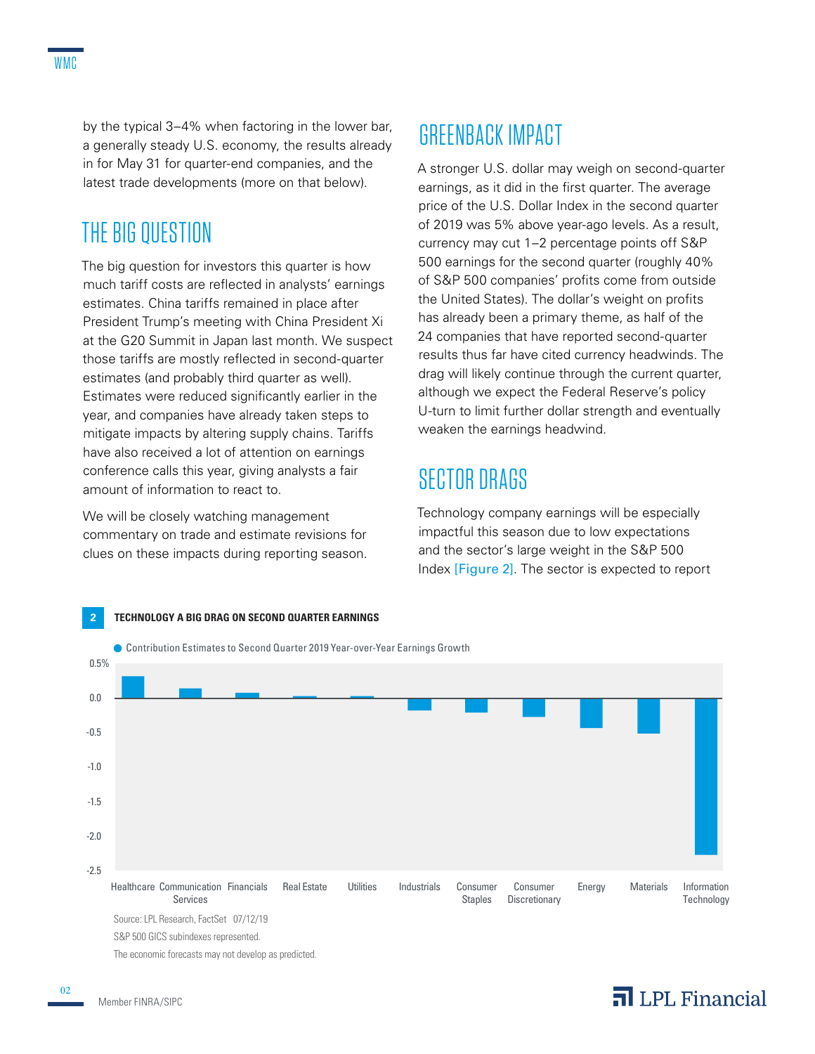by the typical 3–4% when factoring in the lower bar, a generally steady U.S. economy, the results already in for May 31 for quarter-end companies, and the latest trade developments (more on that below).

#### THE BIG QUESTION

The big question for investors this quarter is how much tariff costs are reflected in analysts' earnings estimates. China tariffs remained in place after President Trump's meeting with China President Xi at the G20 Summit in Japan last month. We suspect those tariffs are mostly reflected in second-quarter estimates (and probably third quarter as well). Estimates were reduced significantly earlier in the year, and companies have already taken steps to mitigate impacts by altering supply chains. Tariffs have also received a lot of attention on earnings conference calls this year, giving analysts a fair amount of information to react to.

We will be closely watching management commentary on trade and estimate revisions for clues on these impacts during reporting season.

### GREENBACK IMPACT

A stronger U.S. dollar may weigh on second-quarter earnings, as it did in the first quarter. The average price of the U.S. Dollar Index in the second quarter of 2019 was 5% above year-ago levels. As a result, currency may cut 1–2 percentage points off S&P 500 earnings for the second quarter (roughly 40% of S&P 500 companies' profits come from outside the United States). The dollar's weight on profits has already been a primary theme, as half of the 24 companies that have reported second-quarter results thus far have cited currency headwinds. The drag will likely continue through the current quarter, although we expect the Federal Reserve's policy U-turn to limit further dollar strength and eventually weaken the earnings headwind.

#### SECTOR DRAGS

Technology company earnings will be especially impactful this season due to low expectations and the sector's large weight in the S&P 500 Index [Figure 2]. The sector is expected to report

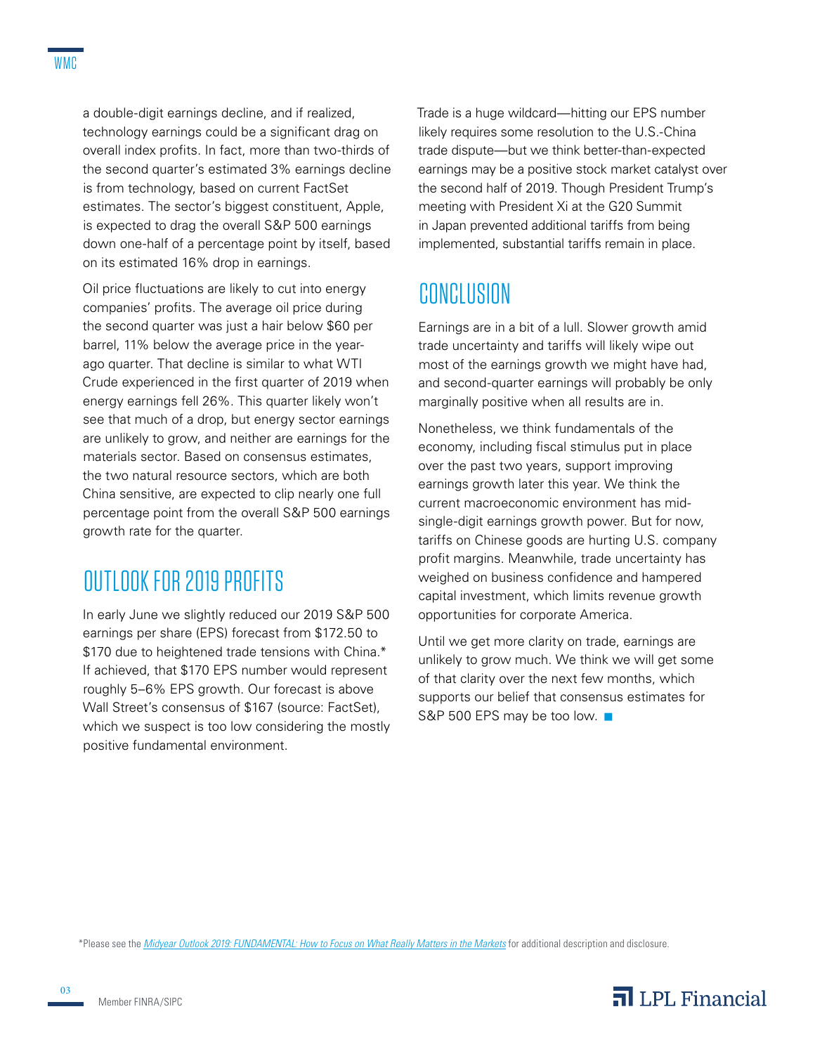a double-digit earnings decline, and if realized, technology earnings could be a significant drag on overall index profits. In fact, more than two-thirds of the second quarter's estimated 3% earnings decline is from technology, based on current FactSet estimates. The sector's biggest constituent, Apple, is expected to drag the overall S&P 500 earnings down one-half of a percentage point by itself, based on its estimated 16% drop in earnings.

Oil price fluctuations are likely to cut into energy companies' profits. The average oil price during the second quarter was just a hair below \$60 per barrel, 11% below the average price in the yearago quarter. That decline is similar to what WTI Crude experienced in the first quarter of 2019 when energy earnings fell 26%. This quarter likely won't see that much of a drop, but energy sector earnings are unlikely to grow, and neither are earnings for the materials sector. Based on consensus estimates, the two natural resource sectors, which are both China sensitive, are expected to clip nearly one full percentage point from the overall S&P 500 earnings growth rate for the quarter.

### OUTLOOK FOR 2019 PROFITS

In early June we slightly reduced our 2019 S&P 500 earnings per share (EPS) forecast from \$172.50 to \$170 due to heightened trade tensions with China.\* If achieved, that \$170 EPS number would represent roughly 5–6% EPS growth. Our forecast is above Wall Street's consensus of \$167 (source: FactSet), which we suspect is too low considering the mostly positive fundamental environment.

Trade is a huge wildcard—hitting our EPS number likely requires some resolution to the U.S.-China trade dispute—but we think better-than-expected earnings may be a positive stock market catalyst over the second half of 2019. Though President Trump's meeting with President Xi at the G20 Summit in Japan prevented additional tariffs from being implemented, substantial tariffs remain in place.

### CONCLUSION

Earnings are in a bit of a lull. Slower growth amid trade uncertainty and tariffs will likely wipe out most of the earnings growth we might have had, and second-quarter earnings will probably be only marginally positive when all results are in.

Nonetheless, we think fundamentals of the economy, including fiscal stimulus put in place over the past two years, support improving earnings growth later this year. We think the current macroeconomic environment has midsingle-digit earnings growth power. But for now, tariffs on Chinese goods are hurting U.S. company profit margins. Meanwhile, trade uncertainty has weighed on business confidence and hampered capital investment, which limits revenue growth opportunities for corporate America.

Until we get more clarity on trade, earnings are unlikely to grow much. We think we will get some of that clarity over the next few months, which supports our belief that consensus estimates for S&P 500 EPS may be too low. ■

\*Please see the *Midyear Outlook 2019: FUNDAMENTAL: How to Focus on What Really Matters in the Markets* for additional description and disclosure.



03